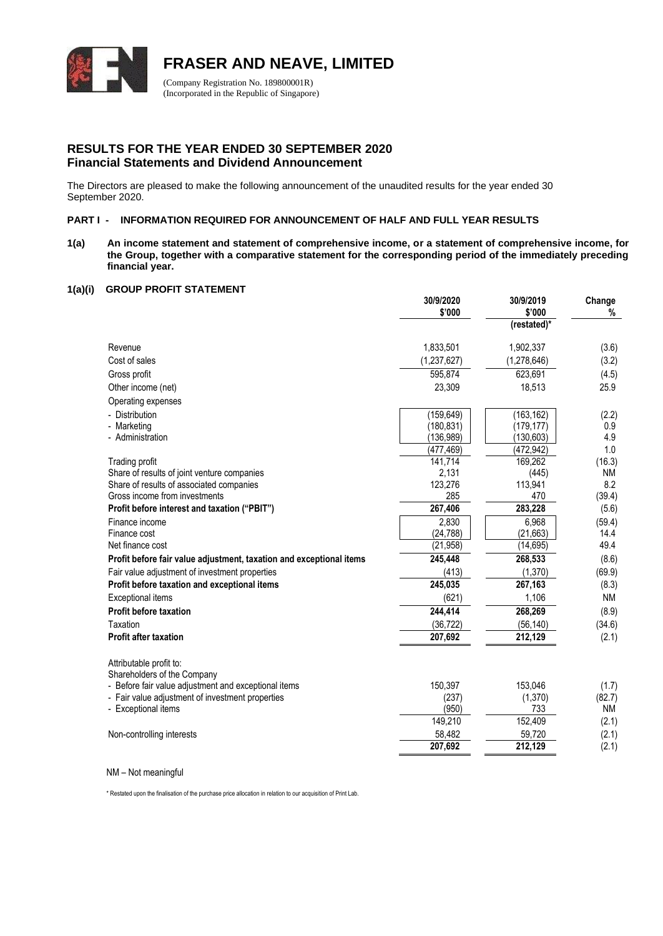

### **RESULTS FOR THE YEAR ENDED 30 SEPTEMBER 2020 Financial Statements and Dividend Announcement**

The Directors are pleased to make the following announcement of the unaudited results for the year ended 30 September 2020.

#### **PART I - INFORMATION REQUIRED FOR ANNOUNCEMENT OF HALF AND FULL YEAR RESULTS**

**1(a) An income statement and statement of comprehensive income, or a statement of comprehensive income, for the Group, together with a comparative statement for the corresponding period of the immediately preceding financial year.**

#### **1(a)(i) GROUP PROFIT STATEMENT**

|                                                                     | 30/9/2020<br>\$'000 | 30/9/2019<br>\$'000 | Change<br>% |
|---------------------------------------------------------------------|---------------------|---------------------|-------------|
|                                                                     |                     | (restated)*         |             |
|                                                                     |                     |                     |             |
| Revenue                                                             | 1,833,501           | 1,902,337           | (3.6)       |
| Cost of sales                                                       | (1, 237, 627)       | (1, 278, 646)       | (3.2)       |
| Gross profit                                                        | 595,874             | 623,691             | (4.5)       |
| Other income (net)                                                  | 23,309              | 18,513              | 25.9        |
| Operating expenses                                                  |                     |                     |             |
| - Distribution                                                      | (159, 649)          | (163, 162)          | (2.2)       |
| - Marketing                                                         | (180, 831)          | (179, 177)          | 0.9         |
| - Administration                                                    | (136, 989)          | (130, 603)          | 4.9         |
|                                                                     | (477, 469)          | (472, 942)          | 1.0         |
| Trading profit                                                      | 141,714             | 169,262             | (16.3)      |
| Share of results of joint venture companies                         | 2,131               | (445)               | <b>NM</b>   |
| Share of results of associated companies                            | 123,276             | 113,941             | 8.2         |
| Gross income from investments                                       | 285                 | 470                 | (39.4)      |
| Profit before interest and taxation ("PBIT")                        | 267,406             | 283,228             | (5.6)       |
| Finance income                                                      | 2,830               | 6,968               | (59.4)      |
| Finance cost<br>Net finance cost                                    | (24, 788)           | (21, 663)           | 14.4        |
|                                                                     | (21, 958)           | (14, 695)           | 49.4        |
| Profit before fair value adjustment, taxation and exceptional items | 245,448             | 268,533             | (8.6)       |
| Fair value adjustment of investment properties                      | (413)               | (1, 370)            | (69.9)      |
| Profit before taxation and exceptional items                        | 245,035             | 267,163             | (8.3)       |
| <b>Exceptional items</b>                                            | (621)               | 1,106               | <b>NM</b>   |
| <b>Profit before taxation</b>                                       | 244,414             | 268,269             | (8.9)       |
| Taxation                                                            | (36, 722)           | (56, 140)           | (34.6)      |
| <b>Profit after taxation</b>                                        | 207,692             | 212,129             | (2.1)       |
| Attributable profit to:                                             |                     |                     |             |
| Shareholders of the Company                                         |                     |                     |             |
| - Before fair value adjustment and exceptional items                | 150,397             | 153,046             | (1.7)       |
| - Fair value adjustment of investment properties                    | (237)               | (1,370)             | (82.7)      |
| - Exceptional items                                                 | (950)               | 733                 | <b>NM</b>   |
|                                                                     | 149,210             | 152,409             | (2.1)       |
| Non-controlling interests                                           | 58,482              | 59,720              | (2.1)       |
|                                                                     | 207,692             | 212,129             | (2.1)       |

NM – Not meaningful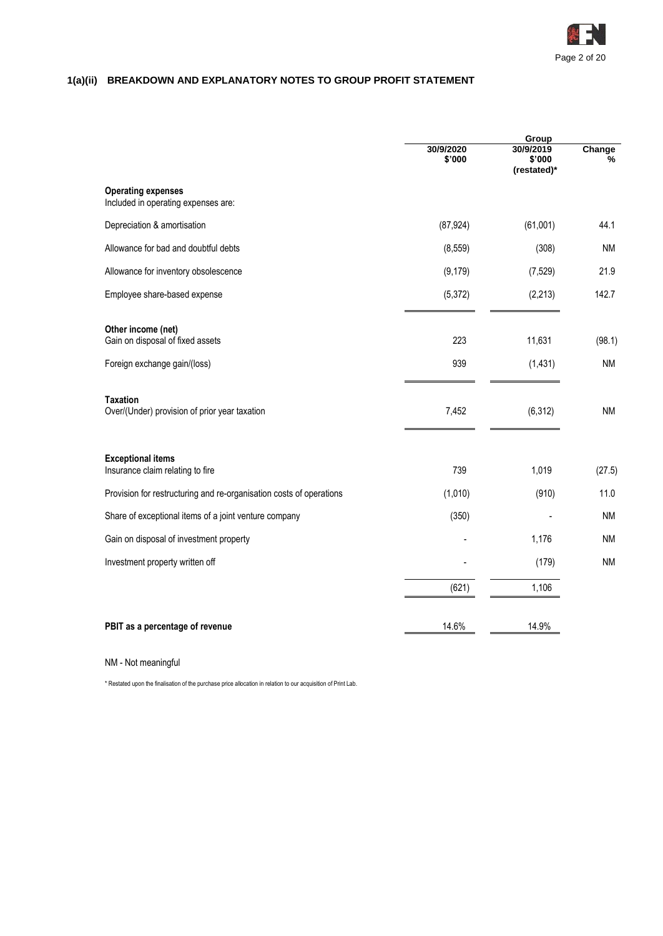

# **1(a)(ii) BREAKDOWN AND EXPLANATORY NOTES TO GROUP PROFIT STATEMENT**

|                                                                     |                     | Group                              |             |  |
|---------------------------------------------------------------------|---------------------|------------------------------------|-------------|--|
|                                                                     | 30/9/2020<br>\$'000 | 30/9/2019<br>\$'000<br>(restated)* | Change<br>% |  |
| <b>Operating expenses</b><br>Included in operating expenses are:    |                     |                                    |             |  |
| Depreciation & amortisation                                         | (87, 924)           | (61,001)                           | 44.1        |  |
| Allowance for bad and doubtful debts                                | (8, 559)            | (308)                              | ΝM          |  |
| Allowance for inventory obsolescence                                | (9, 179)            | (7, 529)                           | 21.9        |  |
| Employee share-based expense                                        | (5, 372)            | (2, 213)                           | 142.7       |  |
| Other income (net)<br>Gain on disposal of fixed assets              | 223                 | 11,631                             | (98.1)      |  |
| Foreign exchange gain/(loss)                                        | 939                 | (1, 431)                           | <b>NM</b>   |  |
| <b>Taxation</b><br>Over/(Under) provision of prior year taxation    | 7,452               | (6, 312)                           | <b>NM</b>   |  |
| <b>Exceptional items</b><br>Insurance claim relating to fire        | 739                 | 1,019                              | (27.5)      |  |
| Provision for restructuring and re-organisation costs of operations | (1,010)             | (910)                              | 11.0        |  |
| Share of exceptional items of a joint venture company               | (350)               |                                    | <b>NM</b>   |  |
| Gain on disposal of investment property                             |                     | 1,176                              | ΝM          |  |
| Investment property written off                                     |                     | (179)                              | <b>NM</b>   |  |
|                                                                     | (621)               | 1,106                              |             |  |
| PBIT as a percentage of revenue                                     | 14.6%               | 14.9%                              |             |  |

NM - Not meaningful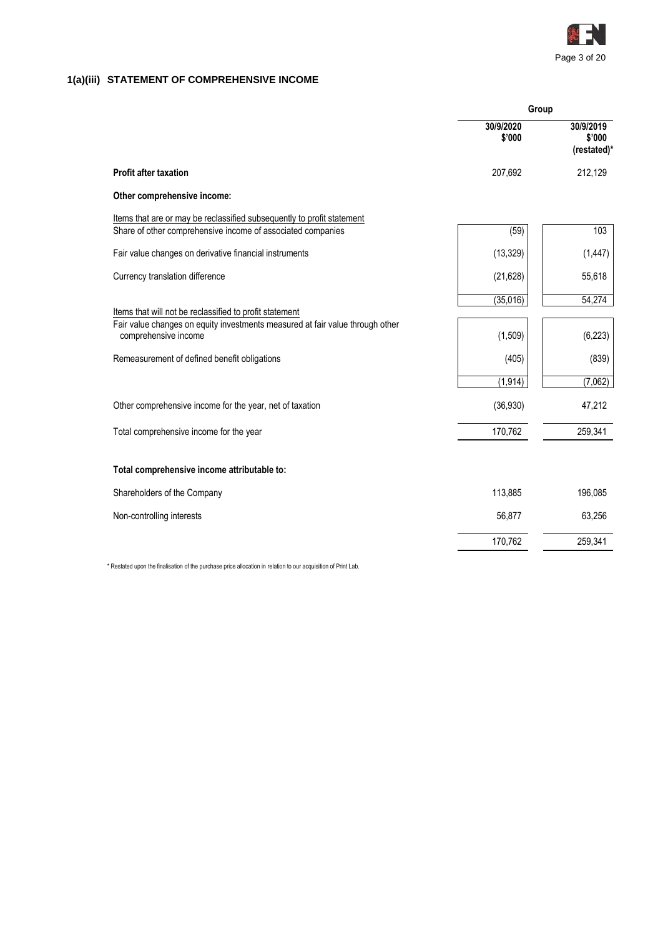

# **1(a)(iii) STATEMENT OF COMPREHENSIVE INCOME**

|                                                                                                       | Group               |                                    |  |
|-------------------------------------------------------------------------------------------------------|---------------------|------------------------------------|--|
|                                                                                                       | 30/9/2020<br>\$'000 | 30/9/2019<br>\$'000<br>(restated)* |  |
| <b>Profit after taxation</b>                                                                          | 207,692             | 212,129                            |  |
| Other comprehensive income:                                                                           |                     |                                    |  |
| Items that are or may be reclassified subsequently to profit statement                                |                     |                                    |  |
| Share of other comprehensive income of associated companies                                           | (59)                | 103                                |  |
| Fair value changes on derivative financial instruments                                                | (13, 329)           | (1, 447)                           |  |
| Currency translation difference                                                                       | (21, 628)           | 55,618                             |  |
|                                                                                                       | (35,016)            | 54,274                             |  |
| Items that will not be reclassified to profit statement                                               |                     |                                    |  |
| Fair value changes on equity investments measured at fair value through other<br>comprehensive income | (1,509)             | (6, 223)                           |  |
| Remeasurement of defined benefit obligations                                                          | (405)               | (839)                              |  |
|                                                                                                       | (1, 914)            | (7,062)                            |  |
| Other comprehensive income for the year, net of taxation                                              | (36, 930)           | 47,212                             |  |
| Total comprehensive income for the year                                                               | 170,762             | 259,341                            |  |
| Total comprehensive income attributable to:                                                           |                     |                                    |  |
|                                                                                                       |                     |                                    |  |
| Shareholders of the Company                                                                           | 113,885             | 196,085                            |  |
| Non-controlling interests                                                                             | 56,877              | 63,256                             |  |
|                                                                                                       | 170,762             | 259,341                            |  |
|                                                                                                       |                     |                                    |  |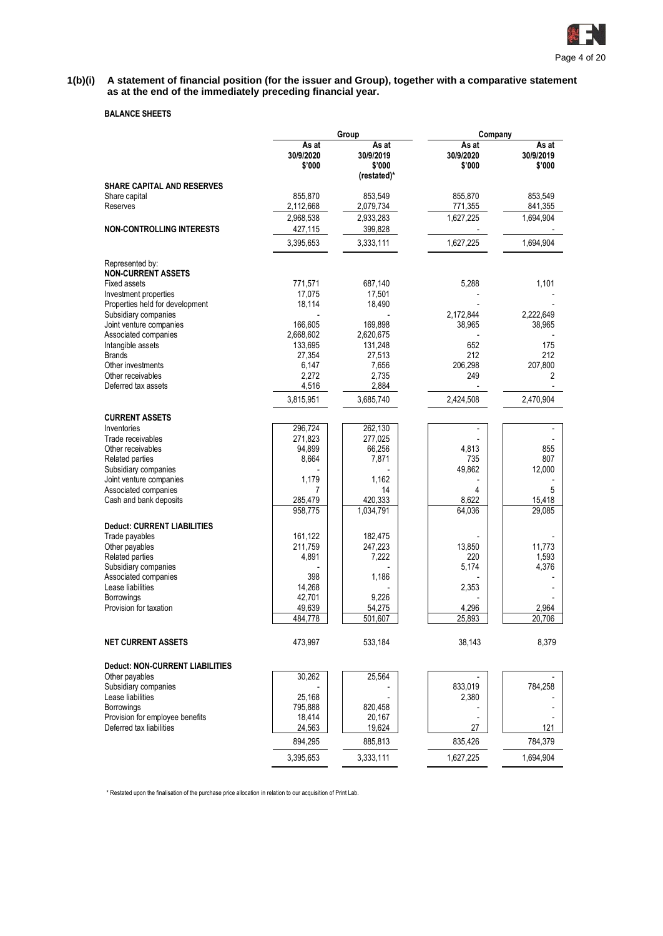

#### **1(b)(i) A statement of financial position (for the issuer and Group), together with a comparative statement as at the end of the immediately preceding financial year.**

### **BALANCE SHEETS**

|                                           |                              | Group                                       | Company                      |                              |  |  |
|-------------------------------------------|------------------------------|---------------------------------------------|------------------------------|------------------------------|--|--|
|                                           | As at<br>30/9/2020<br>\$'000 | As at<br>30/9/2019<br>\$'000<br>(restated)* | As at<br>30/9/2020<br>\$'000 | As at<br>30/9/2019<br>\$'000 |  |  |
| <b>SHARE CAPITAL AND RESERVES</b>         |                              |                                             |                              |                              |  |  |
| Share capital                             | 855,870                      | 853,549                                     | 855.870                      | 853,549                      |  |  |
| Reserves                                  | 2,112,668                    | 2,079,734                                   | 771,355                      | 841,355                      |  |  |
|                                           | 2,968,538                    | 2,933,283                                   | 1,627,225                    | 1,694,904                    |  |  |
| <b>NON-CONTROLLING INTERESTS</b>          | 427,115                      | 399,828                                     |                              |                              |  |  |
|                                           | 3,395,653                    | 3,333,111                                   | 1,627,225                    | 1,694,904                    |  |  |
| Represented by:                           |                              |                                             |                              |                              |  |  |
| <b>NON-CURRENT ASSETS</b><br>Fixed assets | 771,571                      | 687,140                                     | 5,288                        | 1,101                        |  |  |
| Investment properties                     | 17,075                       | 17,501                                      |                              |                              |  |  |
| Properties held for development           | 18,114                       | 18,490                                      |                              |                              |  |  |
| Subsidiary companies                      |                              |                                             | 2,172,844                    | 2,222,649                    |  |  |
| Joint venture companies                   | 166,605                      | 169,898                                     | 38,965                       | 38,965                       |  |  |
| Associated companies                      | 2,668,602                    | 2,620,675                                   |                              |                              |  |  |
| Intangible assets                         | 133,695                      | 131,248                                     | 652                          | 175                          |  |  |
| <b>Brands</b>                             | 27,354                       | 27,513                                      | 212                          | 212                          |  |  |
| Other investments                         | 6,147                        | 7,656                                       | 206,298                      | 207,800                      |  |  |
| Other receivables<br>Deferred tax assets  | 2,272<br>4,516               | 2,735<br>2,884                              | 249                          | 2                            |  |  |
|                                           | 3,815,951                    | 3,685,740                                   | 2,424,508                    | 2,470,904                    |  |  |
|                                           |                              |                                             |                              |                              |  |  |
| <b>CURRENT ASSETS</b>                     |                              |                                             |                              |                              |  |  |
| Inventories<br>Trade receivables          | 296,724<br>271,823           | 262,130<br>277,025                          |                              |                              |  |  |
| Other receivables                         | 94,899                       | 66,256                                      | 4,813                        | 855                          |  |  |
| Related parties                           | 8,664                        | 7,871                                       | 735                          | 807                          |  |  |
| Subsidiary companies                      |                              |                                             | 49,862                       | 12,000                       |  |  |
| Joint venture companies                   | 1,179                        | 1,162                                       |                              |                              |  |  |
| Associated companies                      | 7                            | 14                                          | 4                            | 5                            |  |  |
| Cash and bank deposits                    | 285,479                      | 420,333                                     | 8,622                        | 15,418                       |  |  |
|                                           | 958,775                      | 1,034,791                                   | 64,036                       | 29,085                       |  |  |
| <b>Deduct: CURRENT LIABILITIES</b>        |                              |                                             |                              |                              |  |  |
| Trade payables                            | 161,122                      | 182,475                                     |                              |                              |  |  |
| Other payables                            | 211,759                      | 247,223                                     | 13,850                       | 11,773                       |  |  |
| Related parties                           | 4,891                        | 7,222                                       | 220                          | 1,593                        |  |  |
| Subsidiary companies                      |                              |                                             | 5,174                        | 4,376                        |  |  |
| Associated companies<br>Lease liabilities | 398<br>14,268                | 1,186                                       | 2,353                        |                              |  |  |
| <b>Borrowings</b>                         | 42,701                       | 9,226                                       |                              |                              |  |  |
| Provision for taxation                    | 49,639                       | 54,275                                      | 4,296                        | 2,964                        |  |  |
|                                           | 484,778                      | 501,607                                     | 25,893                       | 20,706                       |  |  |
| <b>NET CURRENT ASSETS</b>                 | 473,997                      | 533,184                                     | 38,143                       | 8,379                        |  |  |
| Deduct: NON-CURRENT LIABILITIES           |                              |                                             |                              |                              |  |  |
| Other payables                            | 30,262                       | 25,564                                      |                              |                              |  |  |
| Subsidiary companies                      |                              |                                             | 833,019                      | 784,258                      |  |  |
| Lease liabilities                         | 25,168                       |                                             | 2,380                        |                              |  |  |
| Borrowings                                | 795,888                      | 820,458                                     |                              |                              |  |  |
| Provision for employee benefits           | 18,414                       | 20,167                                      |                              |                              |  |  |
| Deferred tax liabilities                  | 24,563<br>894,295            | 19,624<br>885,813                           | 27<br>835,426                | 121<br>784,379               |  |  |
|                                           | 3,395,653                    | 3,333,111                                   | 1,627,225                    | 1,694,904                    |  |  |
|                                           |                              |                                             |                              |                              |  |  |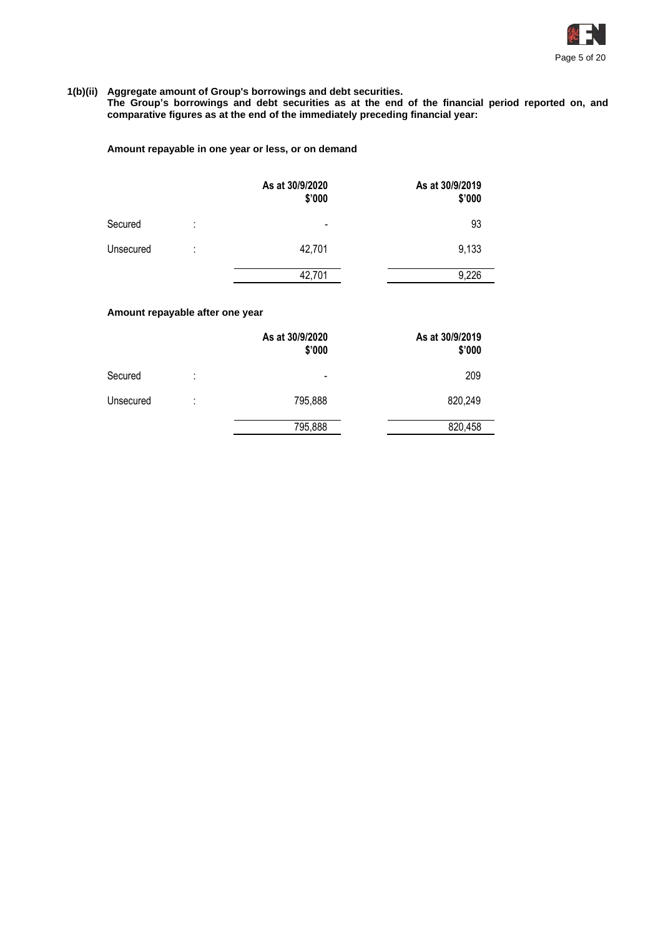

#### **1(b)(ii) Aggregate amount of Group's borrowings and debt securities.**

**The Group's borrowings and debt securities as at the end of the financial period reported on, and comparative figures as at the end of the immediately preceding financial year:**

### **Amount repayable in one year or less, or on demand**

|           |                     | As at 30/9/2020<br>\$'000 | As at 30/9/2019<br>\$'000 |
|-----------|---------------------|---------------------------|---------------------------|
| Secured   | ٠<br>٠              | $\,$                      | 93                        |
| Unsecured | ٠<br>$\blacksquare$ | 42,701                    | 9,133                     |
|           |                     | 42,701                    | 9,226                     |

### **Amount repayable after one year**

|           |        | As at 30/9/2020<br>\$'000 | As at 30/9/2019<br>\$'000 |
|-----------|--------|---------------------------|---------------------------|
| Secured   | ٠<br>٠ | $\overline{\phantom{0}}$  | 209                       |
| Unsecured | ٠<br>٠ | 795,888                   | 820,249                   |
|           |        | 795,888                   | 820,458                   |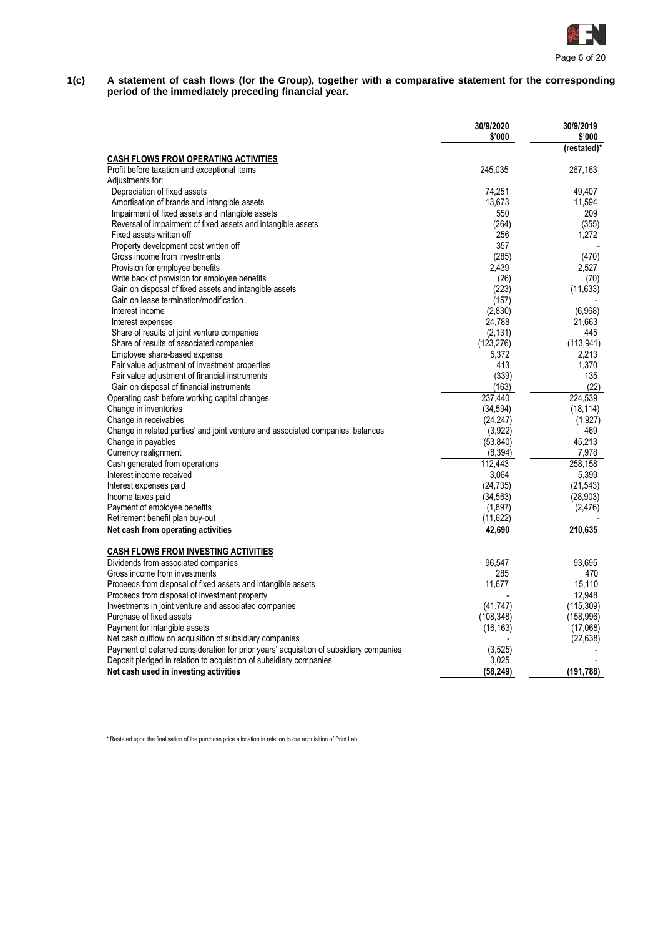

#### **1(c) A statement of cash flows (for the Group), together with a comparative statement for the corresponding period of the immediately preceding financial year.**

|                                                                                        | 30/9/2020<br>\$'000 | 30/9/2019<br>\$'000 |
|----------------------------------------------------------------------------------------|---------------------|---------------------|
| <b>CASH FLOWS FROM OPERATING ACTIVITIES</b>                                            |                     | (restated)*         |
| Profit before taxation and exceptional items                                           | 245,035             | 267,163             |
| Adjustments for:                                                                       |                     |                     |
| Depreciation of fixed assets                                                           | 74,251              | 49,407              |
| Amortisation of brands and intangible assets                                           | 13,673              | 11,594              |
| Impairment of fixed assets and intangible assets                                       | 550                 | 209                 |
| Reversal of impairment of fixed assets and intangible assets                           | (264)               | (355)               |
| Fixed assets written off                                                               | 256                 | 1,272               |
| Property development cost written off                                                  | 357                 |                     |
| Gross income from investments                                                          | (285)               | (470)               |
| Provision for employee benefits                                                        | 2,439               | 2,527               |
| Write back of provision for employee benefits                                          | (26)                | (70)                |
| Gain on disposal of fixed assets and intangible assets                                 | (223)               | (11, 633)           |
| Gain on lease termination/modification                                                 | (157)               |                     |
| Interest income                                                                        | (2,830)             | (6,968)             |
| Interest expenses                                                                      | 24,788              | 21,663              |
| Share of results of joint venture companies                                            | (2, 131)            | 445                 |
| Share of results of associated companies                                               | (123, 276)          | (113, 941)          |
| Employee share-based expense                                                           | 5,372               | 2,213               |
| Fair value adjustment of investment properties                                         | 413                 | 1,370               |
| Fair value adjustment of financial instruments                                         | (339)               | 135                 |
| Gain on disposal of financial instruments                                              | (163)               | (22)                |
| Operating cash before working capital changes                                          | 237.440             | 224.539             |
| Change in inventories                                                                  | (34, 594)           | (18, 114)           |
| Change in receivables                                                                  | (24, 247)           | (1, 927)            |
| Change in related parties' and joint venture and associated companies' balances        | (3,922)             | 469                 |
| Change in payables                                                                     | (53, 840)           | 45,213              |
| Currency realignment                                                                   | (8, 394)            | 7,978               |
| Cash generated from operations                                                         | 112,443             | 258,158             |
| Interest income received                                                               | 3,064               | 5,399               |
| Interest expenses paid                                                                 | (24, 735)           | (21, 543)           |
| Income taxes paid                                                                      | (34, 563)           | (28, 903)           |
| Payment of employee benefits                                                           | (1,897)             | (2,476)             |
| Retirement benefit plan buy-out                                                        | (11, 622)           |                     |
| Net cash from operating activities                                                     | 42.690              | 210.635             |
| <b>CASH FLOWS FROM INVESTING ACTIVITIES</b>                                            |                     |                     |
| Dividends from associated companies                                                    | 96,547              | 93,695              |
| Gross income from investments                                                          | 285                 | 470                 |
| Proceeds from disposal of fixed assets and intangible assets                           | 11,677              | 15,110              |
| Proceeds from disposal of investment property                                          |                     | 12,948              |
| Investments in joint venture and associated companies                                  | (41, 747)           | (115, 309)          |
| Purchase of fixed assets                                                               | (108, 348)          | (158, 996)          |
| Payment for intangible assets                                                          | (16, 163)           | (17,068)            |
| Net cash outflow on acquisition of subsidiary companies                                |                     | (22, 638)           |
| Payment of deferred consideration for prior years' acquisition of subsidiary companies | (3, 525)            |                     |
| Deposit pledged in relation to acquisition of subsidiary companies                     | 3,025               |                     |
| Net cash used in investing activities                                                  | (58,249)            | (191, 788)          |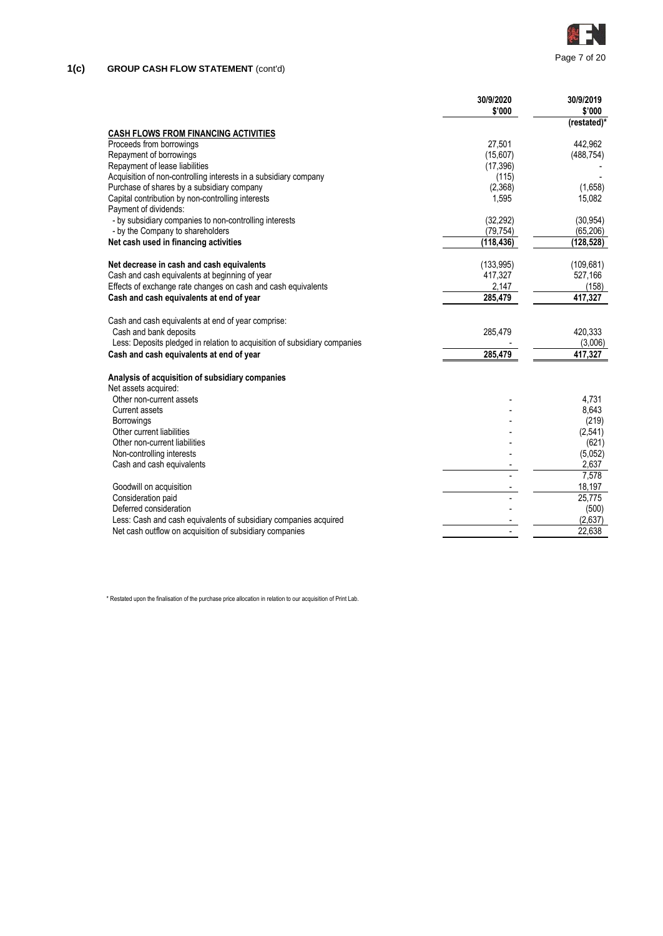

|                                                                           | 30/9/2020  | 30/9/2019       |
|---------------------------------------------------------------------------|------------|-----------------|
|                                                                           | \$'000     | \$'000          |
| <b>CASH FLOWS FROM FINANCING ACTIVITIES</b>                               |            | (restated)*     |
| Proceeds from borrowings                                                  | 27,501     | 442,962         |
| Repayment of borrowings                                                   | (15,607)   | (488, 754)      |
| Repayment of lease liabilities                                            | (17, 396)  |                 |
| Acquisition of non-controlling interests in a subsidiary company          | (115)      |                 |
| Purchase of shares by a subsidiary company                                | (2,368)    | (1,658)         |
| Capital contribution by non-controlling interests                         | 1,595      | 15,082          |
| Payment of dividends:                                                     |            |                 |
| - by subsidiary companies to non-controlling interests                    | (32, 292)  | (30.954)        |
| - by the Company to shareholders                                          | (79, 754)  | (65, 206)       |
| Net cash used in financing activities                                     | (118, 436) | (128, 528)      |
| Net decrease in cash and cash equivalents                                 | (133, 995) | (109, 681)      |
| Cash and cash equivalents at beginning of year                            | 417,327    | 527,166         |
| Effects of exchange rate changes on cash and cash equivalents             | 2,147      | (158)           |
| Cash and cash equivalents at end of year                                  | 285,479    | 417,327         |
| Cash and cash equivalents at end of year comprise:                        |            |                 |
| Cash and bank deposits                                                    | 285,479    | 420.333         |
| Less: Deposits pledged in relation to acquisition of subsidiary companies |            | (3,006)         |
| Cash and cash equivalents at end of year                                  | 285,479    | 417,327         |
| Analysis of acquisition of subsidiary companies                           |            |                 |
| Net assets acquired:                                                      |            |                 |
| Other non-current assets                                                  |            | 4.731           |
| <b>Current assets</b>                                                     |            | 8,643           |
| <b>Borrowings</b>                                                         |            | (219)           |
| Other current liabilities                                                 |            | (2, 541)        |
| Other non-current liabilities                                             |            | (621)           |
| Non-controlling interests                                                 |            | (5,052)         |
| Cash and cash equivalents                                                 |            | 2,637           |
|                                                                           |            | 7,578<br>18,197 |
| Goodwill on acquisition<br>Consideration paid                             |            | 25,775          |
| Deferred consideration                                                    |            | (500)           |
| Less: Cash and cash equivalents of subsidiary companies acquired          |            | (2,637)         |
| Net cash outflow on acquisition of subsidiary companies                   |            | 22,638          |
|                                                                           |            |                 |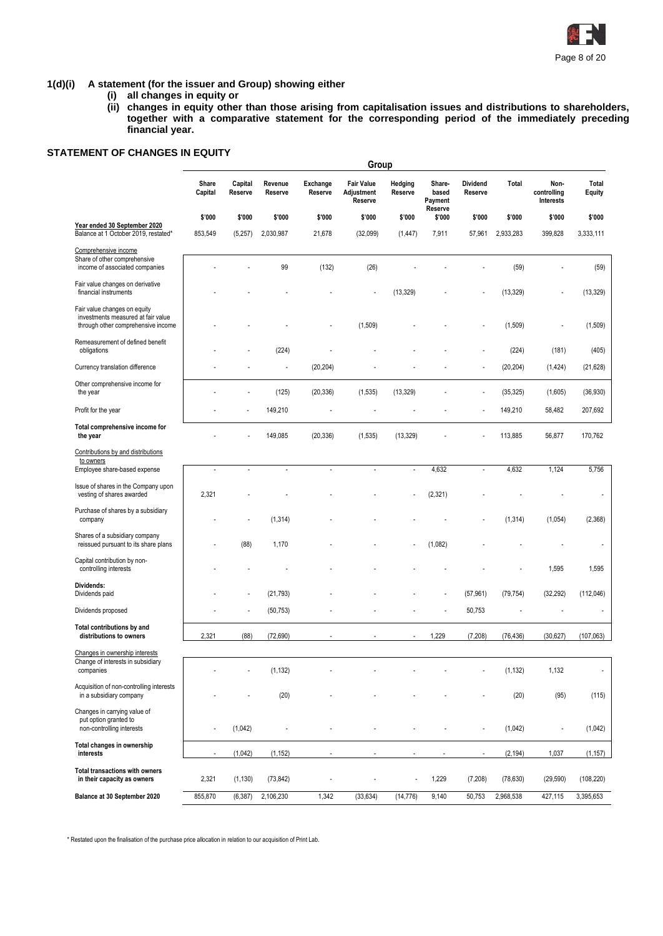

### **1(d)(i) A statement (for the issuer and Group) showing either**

- **(i) all changes in equity or**
- **(ii) changes in equity other than those arising from capitalisation issues and distributions to shareholders, together with a comparative statement for the corresponding period of the immediately preceding financial year.**

## **STATEMENT OF CHANGES IN EQUITY**

|                                                                                                          | Group            |                    |                    |                     |                                            |                    |                                       |                     |           |                                  |                          |
|----------------------------------------------------------------------------------------------------------|------------------|--------------------|--------------------|---------------------|--------------------------------------------|--------------------|---------------------------------------|---------------------|-----------|----------------------------------|--------------------------|
|                                                                                                          | Share<br>Capital | Capital<br>Reserve | Revenue<br>Reserve | Exchange<br>Reserve | <b>Fair Value</b><br>Adjustment<br>Reserve | Hedging<br>Reserve | Share-<br>based<br>Payment<br>Reserve | Dividend<br>Reserve | Total     | Non-<br>controlling<br>Interests | Total<br>Equity          |
| Year ended 30 September 2020                                                                             | \$'000           | \$'000             | \$'000             | \$'000              | \$'000                                     | \$'000             | \$'000                                | \$'000              | \$'000    | \$'000                           | \$'000                   |
| Balance at 1 October 2019, restated*                                                                     | 853,549          | (5,257)            | 2,030,987          | 21,678              | (32,099)                                   | (1, 447)           | 7,911                                 | 57,961              | 2,933,283 | 399,828                          | 3,333,111                |
| Comprehensive income<br>Share of other comprehensive<br>income of associated companies                   |                  |                    | 99                 | (132)               | (26)                                       |                    |                                       |                     | (59)      |                                  | (59)                     |
| Fair value changes on derivative<br>financial instruments                                                |                  |                    |                    |                     |                                            | (13, 329)          |                                       |                     | (13, 329) |                                  | (13, 329)                |
| Fair value changes on equity<br>investments measured at fair value<br>through other comprehensive income |                  |                    |                    |                     | (1,509)                                    |                    |                                       |                     | (1,509)   |                                  | (1,509)                  |
| Remeasurement of defined benefit<br>obligations                                                          |                  |                    | (224)              |                     |                                            |                    |                                       |                     | (224)     | (181)                            | (405)                    |
| Currency translation difference                                                                          |                  |                    |                    | (20, 204)           |                                            |                    |                                       |                     | (20, 204) | (1, 424)                         | (21, 628)                |
| Other comprehensive income for<br>the year                                                               |                  |                    | (125)              | (20, 336)           | (1, 535)                                   | (13, 329)          |                                       |                     | (35, 325) | (1,605)                          | (36, 930)                |
| Profit for the year                                                                                      |                  |                    | 149,210            |                     | ÷,                                         |                    |                                       |                     | 149,210   | 58,482                           | 207,692                  |
| Total comprehensive income for<br>the year                                                               |                  |                    | 149,085            | (20, 336)           | (1, 535)                                   | (13, 329)          |                                       |                     | 113,885   | 56,877                           | 170,762                  |
| Contributions by and distributions                                                                       |                  |                    |                    |                     |                                            |                    |                                       |                     |           |                                  |                          |
| to owners<br>Employee share-based expense                                                                | ÷,               | $\sim$             | $\overline{a}$     | $\sim$              | ÷,                                         | ÷.                 | 4,632                                 |                     | 4,632     | 1,124                            | 5,756                    |
| Issue of shares in the Company upon<br>vesting of shares awarded                                         | 2,321            |                    |                    |                     |                                            |                    | (2, 321)                              |                     |           |                                  |                          |
| Purchase of shares by a subsidiary<br>company                                                            |                  |                    | (1, 314)           |                     |                                            |                    |                                       |                     | (1, 314)  | (1,054)                          | (2,368)                  |
| Shares of a subsidiary company<br>reissued pursuant to its share plans                                   |                  | (88)               | 1,170              |                     |                                            |                    | (1,082)                               |                     |           |                                  | $\overline{\phantom{a}}$ |
| Capital contribution by non-<br>controlling interests                                                    |                  |                    |                    |                     |                                            |                    |                                       |                     |           | 1,595                            | 1,595                    |
| Dividends:<br>Dividends paid                                                                             |                  |                    | (21, 793)          |                     |                                            |                    |                                       | (57, 961)           | (79, 754) | (32, 292)                        | (112,046)                |
| Dividends proposed                                                                                       |                  |                    | (50, 753)          |                     |                                            |                    |                                       | 50,753              |           |                                  |                          |
| Total contributions by and<br>distributions to owners                                                    | 2,321            | (88)               | (72, 690)          |                     |                                            |                    | 1,229                                 | (7,208)             | (76, 436) | (30,627)                         | (107, 063)               |
| Changes in ownership interests                                                                           |                  |                    |                    |                     |                                            |                    |                                       |                     |           |                                  |                          |
| Change of interests in subsidiary<br>companies                                                           |                  |                    | (1, 132)           |                     |                                            |                    |                                       |                     | (1, 132)  | 1,132                            | $\overline{\phantom{a}}$ |
| Acquisition of non-controlling interests<br>in a subsidiary company                                      |                  |                    | (20)               |                     |                                            |                    |                                       |                     | (20)      | (95)                             | (115)                    |
| Changes in carrying value of<br>put option granted to<br>non-controlling interests                       | ÷,               | (1,042)            |                    |                     |                                            |                    |                                       |                     | (1,042)   | $\sim$                           | (1,042)                  |
| Total changes in ownership<br>interests                                                                  | ÷,               | (1,042)            | (1, 152)           |                     |                                            |                    |                                       |                     | (2, 194)  | 1,037                            | (1, 157)                 |
| <b>Total transactions with owners</b><br>in their capacity as owners                                     | 2,321            | (1, 130)           | (73, 842)          |                     | ÷,                                         |                    | 1,229                                 | (7,208)             | (78, 630) | (29, 590)                        | (108, 220)               |
| Balance at 30 September 2020                                                                             | 855,870          | (6, 387)           | 2,106,230          | 1,342               | (33, 634)                                  | (14, 776)          | 9,140                                 | 50,753              | 2,968,538 | 427,115                          | 3,395,653                |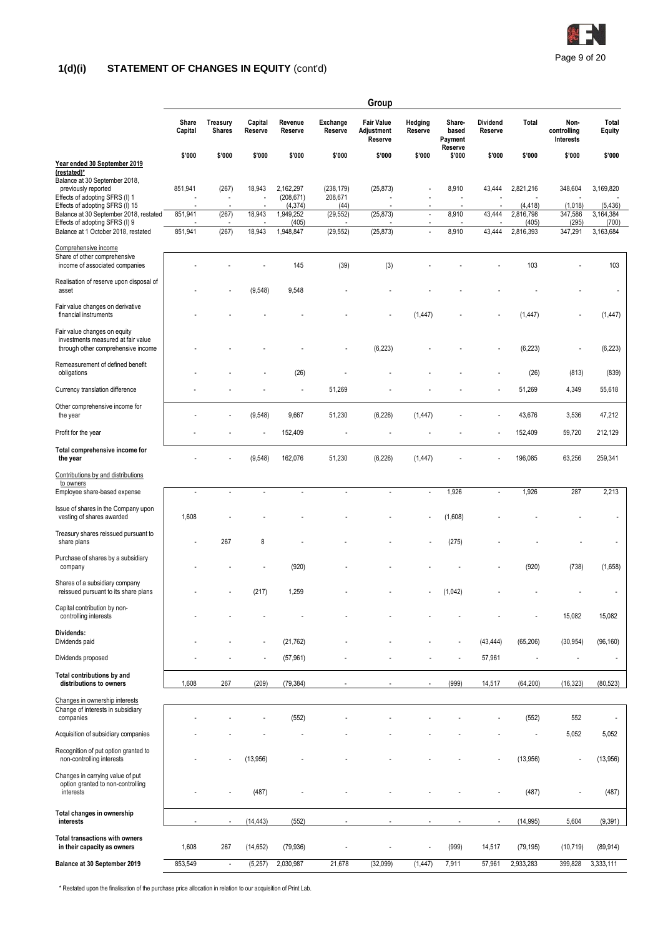

# **1(d)(i) STATEMENT OF CHANGES IN EQUITY** (cont'd)

|                                                                                                             |                  |                                   |                    |                                |                       | Group                                      |                          |                            |                            |                               |                                  |                                |
|-------------------------------------------------------------------------------------------------------------|------------------|-----------------------------------|--------------------|--------------------------------|-----------------------|--------------------------------------------|--------------------------|----------------------------|----------------------------|-------------------------------|----------------------------------|--------------------------------|
|                                                                                                             | Share<br>Capital | Treasury<br><b>Shares</b>         | Capital<br>Reserve | Revenue<br>Reserve             | Exchange<br>Reserve   | <b>Fair Value</b><br>Adjustment<br>Reserve | Hedging<br>Reserve       | Share-<br>based<br>Payment | <b>Dividend</b><br>Reserve | Total                         | Non-<br>controlling<br>Interests | Total<br>Equity                |
| Year ended 30 September 2019<br>(restated)*                                                                 | \$'000           | \$'000                            | \$'000             | \$'000                         | \$'000                | \$'000                                     | \$'000                   | Reserve<br>\$'000          | \$'000                     | \$'000                        | \$'000                           | \$'000                         |
| Balance at 30 September 2018,<br>previously reported<br>Effects of adopting SFRS (I) 1                      | 851,941          | (267)<br>$\overline{\phantom{a}}$ | 18,943<br>÷,       | 2,162,297<br>(208, 671)        | (238, 179)<br>208,671 | (25, 873)                                  | ÷,                       | 8,910                      | 43,444                     | 2,821,216                     | 348,604                          | 3,169,820                      |
| Effects of adopting SFRS (I) 15<br>Balance at 30 September 2018, restated<br>Effects of adopting SFRS (I) 9 | 851,941          | (267)                             | 18,943             | (4, 374)<br>1,949,252<br>(405) | (44)<br>(29, 552)     | (25, 873)                                  | $\overline{\phantom{a}}$ | 8,910                      | 43,444                     | (4,418)<br>2,816,798<br>(405) | (1,018)<br>347,586<br>(295)      | (5, 436)<br>3,164,384<br>(700) |
| Balance at 1 October 2018, restated                                                                         | 851,941          | (267)                             | 18,943             | 1,948,847                      | (29, 552)             | (25, 873)                                  | $\overline{a}$           | 8,910                      | 43,444                     | 2,816,393                     | 347,291                          | 3,163,684                      |
| Comprehensive income<br>Share of other comprehensive<br>income of associated companies                      |                  |                                   |                    | 145                            | (39)                  | (3)                                        |                          |                            |                            | 103                           |                                  | 103                            |
| Realisation of reserve upon disposal of<br>asset                                                            |                  |                                   | (9, 548)           | 9,548                          |                       |                                            |                          |                            |                            |                               |                                  |                                |
| Fair value changes on derivative<br>financial instruments                                                   |                  |                                   |                    |                                |                       |                                            | (1, 447)                 |                            |                            | (1, 447)                      |                                  | (1, 447)                       |
| Fair value changes on equity<br>investments measured at fair value<br>through other comprehensive income    |                  |                                   |                    |                                |                       | (6, 223)                                   |                          |                            |                            | (6, 223)                      | $\overline{\phantom{a}}$         | (6, 223)                       |
| Remeasurement of defined benefit<br>obligations                                                             |                  |                                   |                    | (26)                           |                       |                                            |                          |                            |                            | (26)                          | (813)                            | (839)                          |
| Currency translation difference                                                                             |                  |                                   |                    | ÷,                             | 51,269                |                                            |                          |                            |                            | 51,269                        | 4,349                            | 55,618                         |
| Other comprehensive income for<br>the year                                                                  |                  |                                   | (9, 548)           | 9,667                          | 51,230                | (6, 226)                                   | (1, 447)                 |                            |                            | 43,676                        | 3,536                            | 47,212                         |
| Profit for the year                                                                                         |                  |                                   | ł,                 | 152,409                        |                       |                                            |                          |                            |                            | 152,409                       | 59,720                           | 212,129                        |
| Total comprehensive income for<br>the year                                                                  |                  |                                   | (9, 548)           | 162,076                        | 51,230                | (6, 226)                                   | (1, 447)                 |                            |                            | 196,085                       | 63,256                           | 259,341                        |
| Contributions by and distributions<br>to owners                                                             |                  |                                   |                    |                                |                       |                                            |                          |                            |                            |                               |                                  |                                |
| Employee share-based expense                                                                                | ÷,               | ÷,                                | ÷,                 | ÷,                             | ÷,                    |                                            | ÷,                       | 1,926                      | ÷,                         | 1,926                         | 287                              | 2,213                          |
| Issue of shares in the Company upon<br>vesting of shares awarded                                            | 1,608            |                                   |                    |                                |                       |                                            | ÷,                       | (1,608)                    |                            |                               |                                  |                                |
| Treasury shares reissued pursuant to<br>share plans                                                         |                  | 267                               | 8                  |                                |                       |                                            |                          | (275)                      |                            |                               |                                  |                                |
| Purchase of shares by a subsidiary<br>company                                                               |                  |                                   |                    | (920)                          |                       |                                            |                          |                            |                            | (920)                         | (738)                            | (1,658)                        |
| Shares of a subsidiary company<br>reissued pursuant to its share plans                                      |                  |                                   | (217)              | 1,259                          |                       |                                            |                          | (1,042)                    |                            |                               |                                  | ÷,                             |
| Capital contribution by non-<br>controlling interests                                                       |                  |                                   |                    |                                |                       |                                            |                          |                            |                            |                               | 15,082                           | 15,082                         |
| Dividends:<br>Dividends paid                                                                                |                  |                                   |                    | (21, 762)                      |                       |                                            |                          |                            | (43, 444)                  | (65, 206)                     | (30, 954)                        | (96, 160)                      |
| Dividends proposed                                                                                          |                  |                                   |                    | (57, 961)                      |                       |                                            |                          |                            | 57,961                     | ÷,                            |                                  |                                |
| Total contributions by and<br>distributions to owners                                                       | 1,608            | 267                               | (209)              | (79, 384)                      |                       |                                            |                          | (999)                      | 14,517                     | (64, 200)                     | (16, 323)                        | (80, 523)                      |
| Changes in ownership interests<br>Change of interests in subsidiary<br>companies                            |                  |                                   |                    | (552)                          |                       |                                            |                          |                            |                            | (552)                         | 552                              | ÷,                             |
| Acquisition of subsidiary companies                                                                         |                  |                                   |                    |                                |                       |                                            |                          |                            |                            |                               | 5,052                            | 5,052                          |
| Recognition of put option granted to<br>non-controlling interests                                           |                  |                                   | (13,956)           |                                |                       |                                            |                          |                            |                            | (13,956)                      |                                  | (13,956)                       |
| Changes in carrying value of put<br>option granted to non-controlling<br>interests                          |                  |                                   | (487)              |                                |                       |                                            |                          |                            |                            | (487)                         |                                  | (487)                          |
| Total changes in ownership<br>interests                                                                     | $\blacksquare$   | $\overline{\phantom{a}}$          | (14, 443)          | (552)                          | $\sim$                |                                            | $\overline{\phantom{a}}$ |                            | ٠                          | (14, 995)                     | 5,604                            | (9, 391)                       |
| <b>Total transactions with owners</b><br>in their capacity as owners                                        | 1,608            | 267                               | (14, 652)          | (79, 936)                      |                       |                                            | Ĭ.                       | (999)                      | 14,517                     | (79, 195)                     | (10, 719)                        | (89, 914)                      |
| Balance at 30 September 2019                                                                                | 853,549          | $\blacksquare$                    | (5,257)            | 2,030,987                      | 21,678                | (32,099)                                   | (1, 447)                 | 7,911                      | 57,961                     | 2,933,283                     | 399,828                          | 3,333,111                      |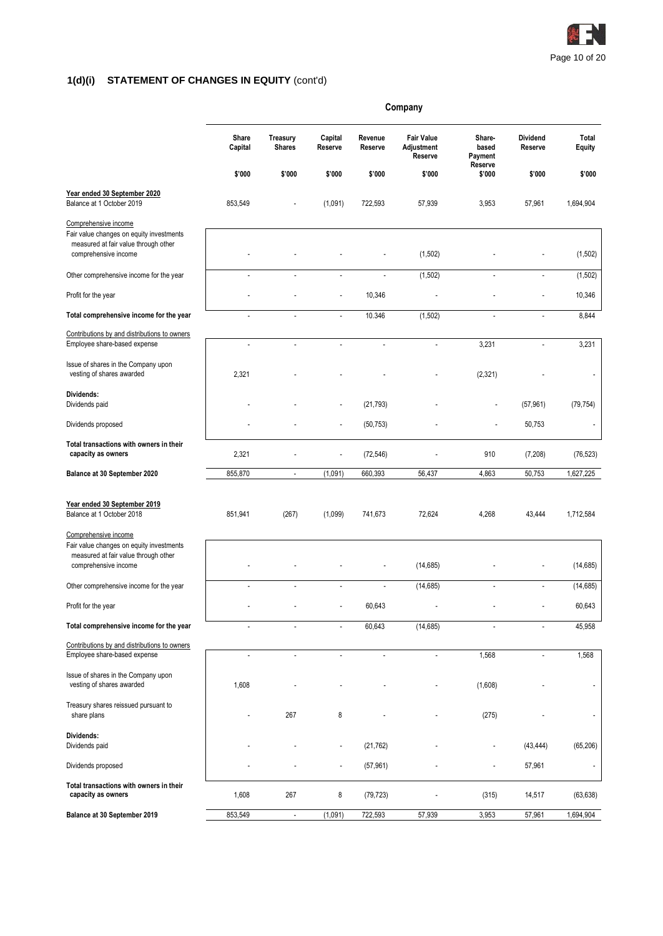

# **1(d)(i) STATEMENT OF CHANGES IN EQUITY** (cont'd)

|                                                                                                                                  | Company          |                           |                          |                    |                                            |                                       |                            |                 |  |
|----------------------------------------------------------------------------------------------------------------------------------|------------------|---------------------------|--------------------------|--------------------|--------------------------------------------|---------------------------------------|----------------------------|-----------------|--|
|                                                                                                                                  | Share<br>Capital | Treasury<br><b>Shares</b> | Capital<br>Reserve       | Revenue<br>Reserve | <b>Fair Value</b><br>Adjustment<br>Reserve | Share-<br>based<br>Payment<br>Reserve | <b>Dividend</b><br>Reserve | Total<br>Equity |  |
|                                                                                                                                  | \$'000           | \$'000                    | \$'000                   | \$'000             | \$'000                                     | \$'000                                | \$'000                     | \$'000          |  |
| Year ended 30 September 2020<br>Balance at 1 October 2019                                                                        | 853,549          |                           | (1,091)                  | 722,593            | 57,939                                     | 3,953                                 | 57,961                     | 1,694,904       |  |
| Comprehensive income<br>Fair value changes on equity investments<br>measured at fair value through other<br>comprehensive income |                  |                           |                          |                    | (1,502)                                    |                                       |                            | (1,502)         |  |
| Other comprehensive income for the year                                                                                          | ÷,               |                           | $\overline{a}$           | ÷,                 | (1,502)                                    |                                       | ÷,                         | (1, 502)        |  |
| Profit for the year                                                                                                              |                  |                           |                          | 10,346             |                                            |                                       |                            | 10,346          |  |
| Total comprehensive income for the year                                                                                          |                  |                           | $\overline{\phantom{a}}$ | 10.346             | (1,502)                                    |                                       |                            | 8,844           |  |
| Contributions by and distributions to owners                                                                                     |                  |                           |                          |                    |                                            |                                       |                            |                 |  |
| Employee share-based expense                                                                                                     | $\overline{a}$   | $\overline{a}$            | ÷,                       | $\overline{a}$     | $\ddot{\phantom{a}}$                       | 3,231                                 | ÷,                         | 3,231           |  |
| Issue of shares in the Company upon<br>vesting of shares awarded                                                                 | 2,321            |                           |                          |                    |                                            | (2, 321)                              |                            |                 |  |
| Dividends:<br>Dividends paid                                                                                                     |                  |                           |                          | (21, 793)          |                                            |                                       | (57, 961)                  | (79, 754)       |  |
| Dividends proposed                                                                                                               |                  |                           |                          | (50, 753)          |                                            |                                       | 50,753                     |                 |  |
| Total transactions with owners in their<br>capacity as owners                                                                    | 2,321            |                           |                          | (72, 546)          |                                            | 910                                   | (7,208)                    | (76, 523)       |  |
| Balance at 30 September 2020                                                                                                     | 855,870          | $\overline{\phantom{a}}$  | (1,091)                  | 660,393            | 56,437                                     | 4,863                                 | 50,753                     | 1,627,225       |  |
| Year ended 30 September 2019<br>Balance at 1 October 2018                                                                        | 851,941          | (267)                     | (1,099)                  | 741,673            | 72,624                                     | 4,268                                 | 43,444                     | 1,712,584       |  |
| Comprehensive income<br>Fair value changes on equity investments<br>measured at fair value through other<br>comprehensive income |                  |                           |                          |                    | (14, 685)                                  |                                       |                            | (14, 685)       |  |
| Other comprehensive income for the year                                                                                          |                  |                           |                          | $\overline{a}$     | (14, 685)                                  | $\overline{a}$                        |                            | (14, 685)       |  |
| Profit for the year                                                                                                              |                  |                           |                          | 60,643             |                                            |                                       |                            | 60,643          |  |
| Total comprehensive income for the year                                                                                          | ٠                | Ĭ.                        | $\overline{a}$           | 60,643             | (14, 685)                                  | ٠                                     |                            | 45,958          |  |
| Contributions by and distributions to owners<br>Employee share-based expense                                                     | ÷,               | $\overline{a}$            | $\overline{\phantom{a}}$ | ÷,                 | ÷,                                         | 1,568                                 | ÷,                         | 1,568           |  |
| Issue of shares in the Company upon<br>vesting of shares awarded                                                                 | 1,608            |                           |                          |                    |                                            | (1,608)                               |                            |                 |  |
| Treasury shares reissued pursuant to<br>share plans                                                                              |                  | 267                       | 8                        |                    |                                            | (275)                                 |                            |                 |  |
| Dividends:<br>Dividends paid                                                                                                     |                  |                           | $\overline{\phantom{a}}$ | (21, 762)          |                                            |                                       | (43, 444)                  | (65, 206)       |  |
| Dividends proposed                                                                                                               |                  |                           | $\overline{\phantom{a}}$ | (57, 961)          |                                            |                                       | 57,961                     |                 |  |
| Total transactions with owners in their<br>capacity as owners                                                                    | 1,608            | 267                       | 8                        | (79, 723)          |                                            | (315)                                 | 14,517                     | (63, 638)       |  |
| Balance at 30 September 2019                                                                                                     | 853,549          | $\mathbb{Z}^2$            | (1,091)                  | 722,593            | 57,939                                     | 3,953                                 | 57,961                     | 1,694,904       |  |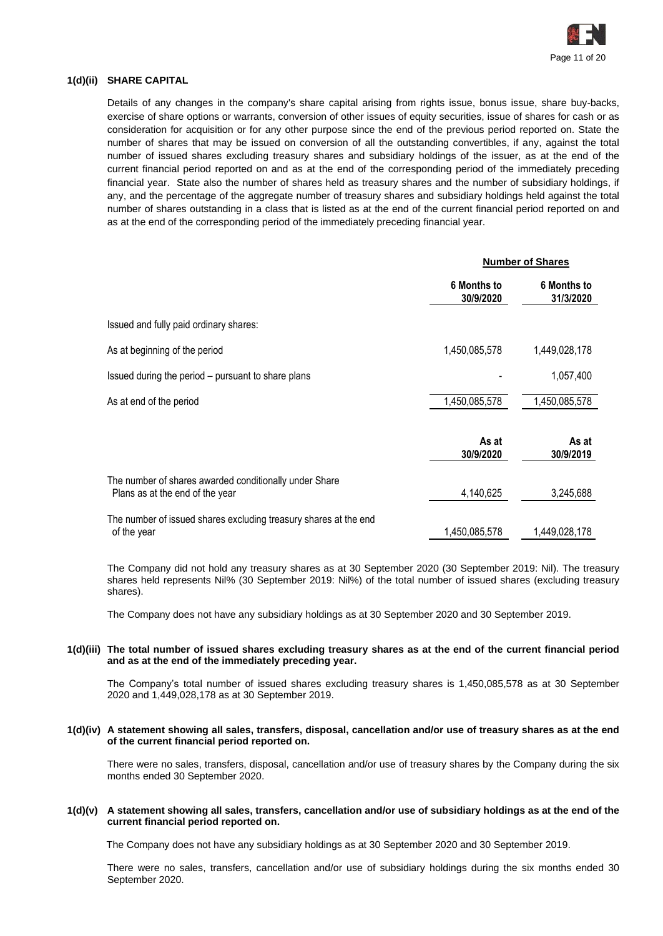

### **1(d)(ii) SHARE CAPITAL**

Details of any changes in the company's share capital arising from rights issue, bonus issue, share buy-backs, exercise of share options or warrants, conversion of other issues of equity securities, issue of shares for cash or as consideration for acquisition or for any other purpose since the end of the previous period reported on. State the number of shares that may be issued on conversion of all the outstanding convertibles, if any, against the total number of issued shares excluding treasury shares and subsidiary holdings of the issuer, as at the end of the current financial period reported on and as at the end of the corresponding period of the immediately preceding financial year. State also the number of shares held as treasury shares and the number of subsidiary holdings, if any, and the percentage of the aggregate number of treasury shares and subsidiary holdings held against the total number of shares outstanding in a class that is listed as at the end of the current financial period reported on and as at the end of the corresponding period of the immediately preceding financial year.

|                                                                                           | <b>Number of Shares</b>         |                                 |  |  |
|-------------------------------------------------------------------------------------------|---------------------------------|---------------------------------|--|--|
|                                                                                           | <b>6 Months to</b><br>30/9/2020 | <b>6 Months to</b><br>31/3/2020 |  |  |
| Issued and fully paid ordinary shares:                                                    |                                 |                                 |  |  |
| As at beginning of the period                                                             | 1,450,085,578                   | 1,449,028,178                   |  |  |
| Issued during the period – pursuant to share plans                                        |                                 | 1,057,400                       |  |  |
| As at end of the period                                                                   | 1,450,085,578                   | 1,450,085,578                   |  |  |
|                                                                                           | As at<br>30/9/2020              | As at<br>30/9/2019              |  |  |
| The number of shares awarded conditionally under Share<br>Plans as at the end of the year | 4,140,625                       | 3,245,688                       |  |  |
| The number of issued shares excluding treasury shares at the end<br>of the year           | 1,450,085,578                   | 1,449,028,178                   |  |  |

The Company did not hold any treasury shares as at 30 September 2020 (30 September 2019: Nil). The treasury shares held represents Nil% (30 September 2019: Nil%) of the total number of issued shares (excluding treasury shares).

The Company does not have any subsidiary holdings as at 30 September 2020 and 30 September 2019.

#### **1(d)(iii) The total number of issued shares excluding treasury shares as at the end of the current financial period and as at the end of the immediately preceding year.**

The Company's total number of issued shares excluding treasury shares is 1,450,085,578 as at 30 September 2020 and 1,449,028,178 as at 30 September 2019.

#### **1(d)(iv) A statement showing all sales, transfers, disposal, cancellation and/or use of treasury shares as at the end of the current financial period reported on.**

There were no sales, transfers, disposal, cancellation and/or use of treasury shares by the Company during the six months ended 30 September 2020.

#### **1(d)(v) A statement showing all sales, transfers, cancellation and/or use of subsidiary holdings as at the end of the current financial period reported on.**

The Company does not have any subsidiary holdings as at 30 September 2020 and 30 September 2019.

There were no sales, transfers, cancellation and/or use of subsidiary holdings during the six months ended 30 September 2020.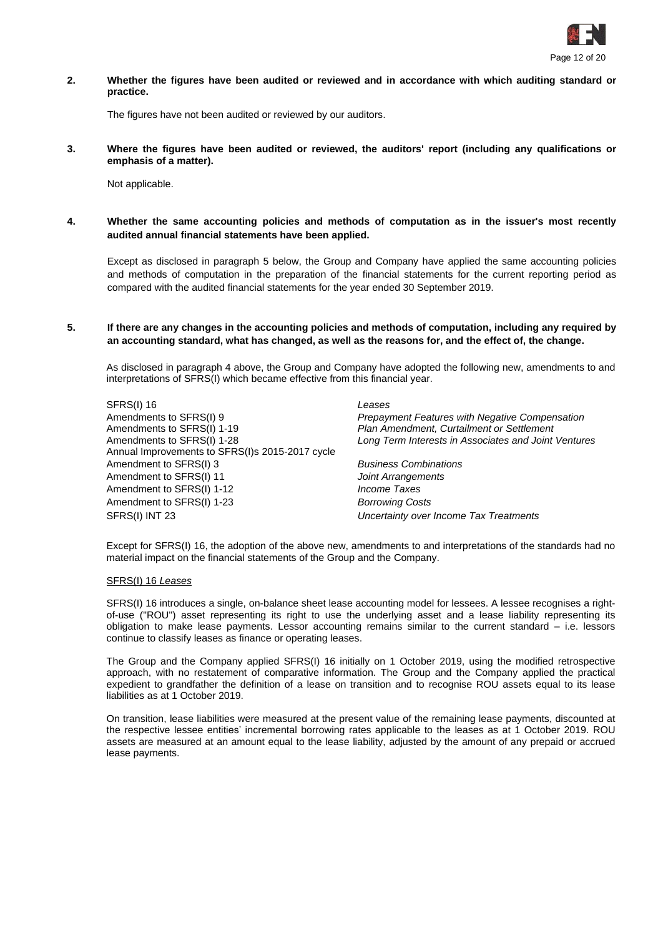

**2. Whether the figures have been audited or reviewed and in accordance with which auditing standard or practice.**

The figures have not been audited or reviewed by our auditors.

**3. Where the figures have been audited or reviewed, the auditors' report (including any qualifications or emphasis of a matter).**

Not applicable.

**4. Whether the same accounting policies and methods of computation as in the issuer's most recently audited annual financial statements have been applied.**

Except as disclosed in paragraph 5 below, the Group and Company have applied the same accounting policies and methods of computation in the preparation of the financial statements for the current reporting period as compared with the audited financial statements for the year ended 30 September 2019.

**5. If there are any changes in the accounting policies and methods of computation, including any required by an accounting standard, what has changed, as well as the reasons for, and the effect of, the change.**

As disclosed in paragraph 4 above, the Group and Company have adopted the following new, amendments to and interpretations of SFRS(I) which became effective from this financial year.

SFRS(I) 16 *Leases* Amendments to SFRS(I) 9 *Prepayment Features with Negative Compensation* Amendments to SFRS(I) 1-19 Amendments to SFRS(I) 1-28 Annual Improvements to SFRS(I)s 2015-2017 cycle Amendment to SFRS(I) 3 *Business Combinations* Amendment to SFRS(I) 11 *Joint Arrangements* Amendment to SFRS(I) 1-12 *Income Taxes* Amendment to SFRS(I) 1-23 *Borrowing Costs* SFRS(I) INT 23 *Uncertainty over Income Tax Treatments*

*Plan Amendment, Curtailment or Settlement Long Term Interests in Associates and Joint Ventures*

Except for SFRS(I) 16, the adoption of the above new, amendments to and interpretations of the standards had no material impact on the financial statements of the Group and the Company.

#### SFRS(I) 16 *Leases*

SFRS(I) 16 introduces a single, on-balance sheet lease accounting model for lessees. A lessee recognises a rightof-use ("ROU") asset representing its right to use the underlying asset and a lease liability representing its obligation to make lease payments. Lessor accounting remains similar to the current standard – i.e. lessors continue to classify leases as finance or operating leases.

The Group and the Company applied SFRS(I) 16 initially on 1 October 2019, using the modified retrospective approach, with no restatement of comparative information. The Group and the Company applied the practical expedient to grandfather the definition of a lease on transition and to recognise ROU assets equal to its lease liabilities as at 1 October 2019.

On transition, lease liabilities were measured at the present value of the remaining lease payments, discounted at the respective lessee entities' incremental borrowing rates applicable to the leases as at 1 October 2019. ROU assets are measured at an amount equal to the lease liability, adjusted by the amount of any prepaid or accrued lease payments.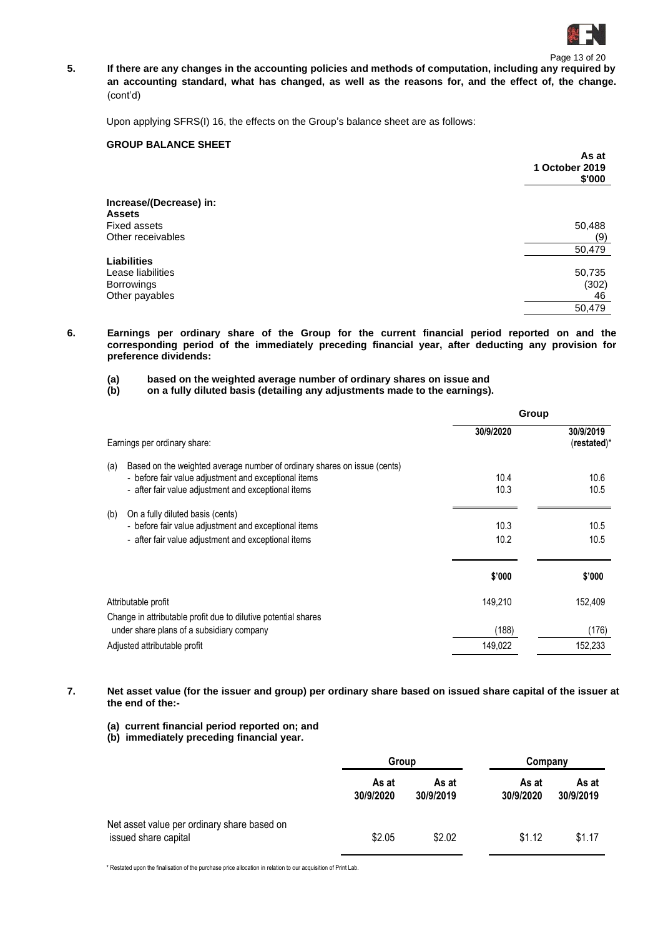

Page 13 of 20 **5. If there are any changes in the accounting policies and methods of computation, including any required by an accounting standard, what has changed, as well as the reasons for, and the effect of, the change.** (cont'd)

Upon applying SFRS(I) 16, the effects on the Group's balance sheet are as follows:

### **GROUP BALANCE SHEET**

|                         | As at<br>1 October 2019<br>\$'000 |
|-------------------------|-----------------------------------|
| Increase/(Decrease) in: |                                   |
| <b>Assets</b>           |                                   |
| Fixed assets            | 50,488                            |
| Other receivables       | (9)                               |
|                         | 50,479                            |
| <b>Liabilities</b>      |                                   |
| Lease liabilities       | 50,735                            |
| <b>Borrowings</b>       | (302)                             |
| Other payables          | 46                                |
|                         | 50,479                            |
|                         |                                   |

**6. Earnings per ordinary share of the Group for the current financial period reported on and the corresponding period of the immediately preceding financial year, after deducting any provision for preference dividends:**

- **(a) based on the weighted average number of ordinary shares on issue and**
- **(b) on a fully diluted basis (detailing any adjustments made to the earnings).**

|                              |                                                                                                                                                                                         | Group        |                              |
|------------------------------|-----------------------------------------------------------------------------------------------------------------------------------------------------------------------------------------|--------------|------------------------------|
| Earnings per ordinary share: |                                                                                                                                                                                         | 30/9/2020    | 30/9/2019<br>$(re stated)^*$ |
| (a)                          | Based on the weighted average number of ordinary shares on issue (cents)<br>- before fair value adjustment and exceptional items<br>- after fair value adjustment and exceptional items | 10.4<br>10.3 | 10.6<br>10.5                 |
| (b)                          | On a fully diluted basis (cents)<br>- before fair value adjustment and exceptional items<br>- after fair value adjustment and exceptional items                                         | 10.3<br>10.2 | 10.5<br>10.5                 |
|                              |                                                                                                                                                                                         | \$'000       | \$'000                       |
| Attributable profit          | Change in attributable profit due to dilutive potential shares                                                                                                                          | 149,210      | 152,409                      |
|                              | under share plans of a subsidiary company                                                                                                                                               | (188)        | (176)                        |
| Adjusted attributable profit |                                                                                                                                                                                         | 149,022      | 152,233                      |
|                              |                                                                                                                                                                                         |              |                              |

**7. Net asset value (for the issuer and group) per ordinary share based on issued share capital of the issuer at the end of the:-**

- **(a) current financial period reported on; and**
- **(b) immediately preceding financial year.**

|                                                                     | Group              |                    | Company            |                    |  |
|---------------------------------------------------------------------|--------------------|--------------------|--------------------|--------------------|--|
|                                                                     | As at<br>30/9/2020 | As at<br>30/9/2019 | As at<br>30/9/2020 | As at<br>30/9/2019 |  |
| Net asset value per ordinary share based on<br>issued share capital | \$2.05             | \$2.02             | \$1.12             | \$1.17             |  |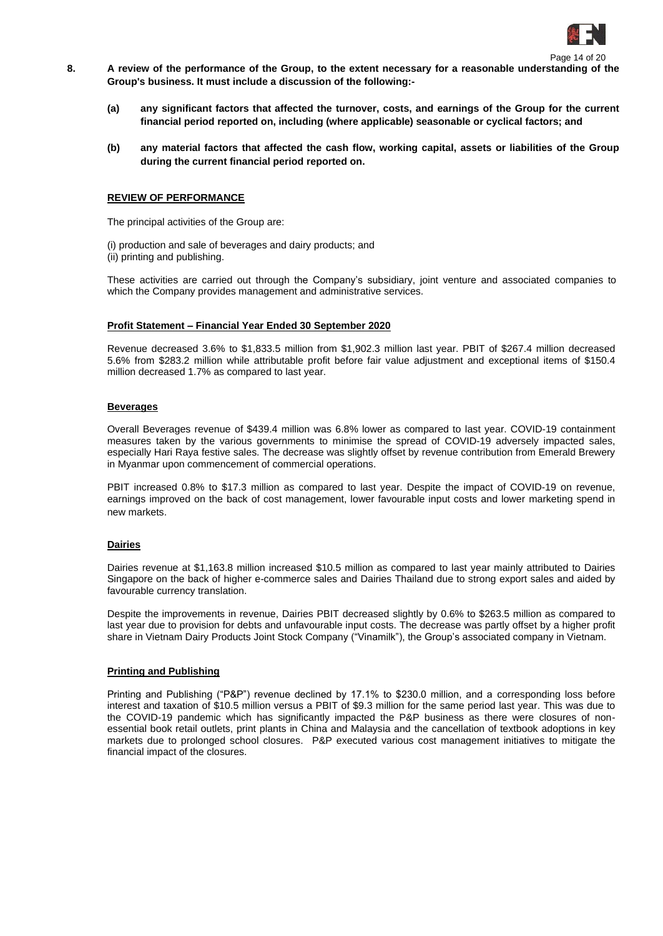

Page 14 of 20

- **8. A review of the performance of the Group, to the extent necessary for a reasonable understanding of the Group's business. It must include a discussion of the following:-**
	- **(a) any significant factors that affected the turnover, costs, and earnings of the Group for the current financial period reported on, including (where applicable) seasonable or cyclical factors; and**
	- **(b) any material factors that affected the cash flow, working capital, assets or liabilities of the Group during the current financial period reported on.**

#### **REVIEW OF PERFORMANCE**

The principal activities of the Group are:

(i) production and sale of beverages and dairy products; and (ii) printing and publishing.

These activities are carried out through the Company's subsidiary, joint venture and associated companies to which the Company provides management and administrative services.

#### **Profit Statement – Financial Year Ended 30 September 2020**

Revenue decreased 3.6% to \$1,833.5 million from \$1,902.3 million last year. PBIT of \$267.4 million decreased 5.6% from \$283.2 million while attributable profit before fair value adjustment and exceptional items of \$150.4 million decreased 1.7% as compared to last year.

#### **Beverages**

Overall Beverages revenue of \$439.4 million was 6.8% lower as compared to last year. COVID-19 containment measures taken by the various governments to minimise the spread of COVID-19 adversely impacted sales, especially Hari Raya festive sales. The decrease was slightly offset by revenue contribution from Emerald Brewery in Myanmar upon commencement of commercial operations.

PBIT increased 0.8% to \$17.3 million as compared to last year. Despite the impact of COVID-19 on revenue, earnings improved on the back of cost management, lower favourable input costs and lower marketing spend in new markets.

#### **Dairies**

Dairies revenue at \$1,163.8 million increased \$10.5 million as compared to last year mainly attributed to Dairies Singapore on the back of higher e-commerce sales and Dairies Thailand due to strong export sales and aided by favourable currency translation.

Despite the improvements in revenue, Dairies PBIT decreased slightly by 0.6% to \$263.5 million as compared to last year due to provision for debts and unfavourable input costs. The decrease was partly offset by a higher profit share in Vietnam Dairy Products Joint Stock Company ("Vinamilk"), the Group's associated company in Vietnam.

#### **Printing and Publishing**

Printing and Publishing ("P&P") revenue declined by 17.1% to \$230.0 million, and a corresponding loss before interest and taxation of \$10.5 million versus a PBIT of \$9.3 million for the same period last year. This was due to the COVID-19 pandemic which has significantly impacted the P&P business as there were closures of nonessential book retail outlets, print plants in China and Malaysia and the cancellation of textbook adoptions in key markets due to prolonged school closures. P&P executed various cost management initiatives to mitigate the financial impact of the closures.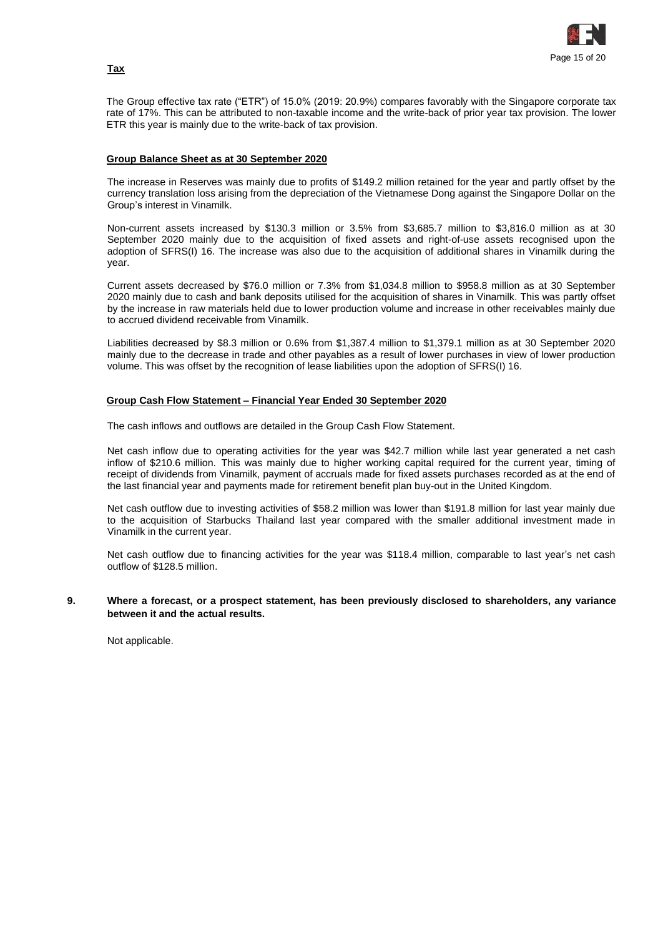

The Group effective tax rate ("ETR") of 15.0% (2019: 20.9%) compares favorably with the Singapore corporate tax rate of 17%. This can be attributed to non-taxable income and the write-back of prior year tax provision. The lower ETR this year is mainly due to the write-back of tax provision.

### **Group Balance Sheet as at 30 September 2020**

The increase in Reserves was mainly due to profits of \$149.2 million retained for the year and partly offset by the currency translation loss arising from the depreciation of the Vietnamese Dong against the Singapore Dollar on the Group's interest in Vinamilk.

Non-current assets increased by \$130.3 million or 3.5% from \$3,685.7 million to \$3,816.0 million as at 30 September 2020 mainly due to the acquisition of fixed assets and right-of-use assets recognised upon the adoption of SFRS(I) 16. The increase was also due to the acquisition of additional shares in Vinamilk during the year.

Current assets decreased by \$76.0 million or 7.3% from \$1,034.8 million to \$958.8 million as at 30 September 2020 mainly due to cash and bank deposits utilised for the acquisition of shares in Vinamilk. This was partly offset by the increase in raw materials held due to lower production volume and increase in other receivables mainly due to accrued dividend receivable from Vinamilk.

Liabilities decreased by \$8.3 million or 0.6% from \$1,387.4 million to \$1,379.1 million as at 30 September 2020 mainly due to the decrease in trade and other payables as a result of lower purchases in view of lower production volume. This was offset by the recognition of lease liabilities upon the adoption of SFRS(I) 16.

### **Group Cash Flow Statement – Financial Year Ended 30 September 2020**

The cash inflows and outflows are detailed in the Group Cash Flow Statement.

Net cash inflow due to operating activities for the year was \$42.7 million while last year generated a net cash inflow of \$210.6 million. This was mainly due to higher working capital required for the current year, timing of receipt of dividends from Vinamilk, payment of accruals made for fixed assets purchases recorded as at the end of the last financial year and payments made for retirement benefit plan buy-out in the United Kingdom.

Net cash outflow due to investing activities of \$58.2 million was lower than \$191.8 million for last year mainly due to the acquisition of Starbucks Thailand last year compared with the smaller additional investment made in Vinamilk in the current year.

Net cash outflow due to financing activities for the year was \$118.4 million, comparable to last year's net cash outflow of \$128.5 million.

### **9. Where a forecast, or a prospect statement, has been previously disclosed to shareholders, any variance between it and the actual results.**

Not applicable.

### **Tax**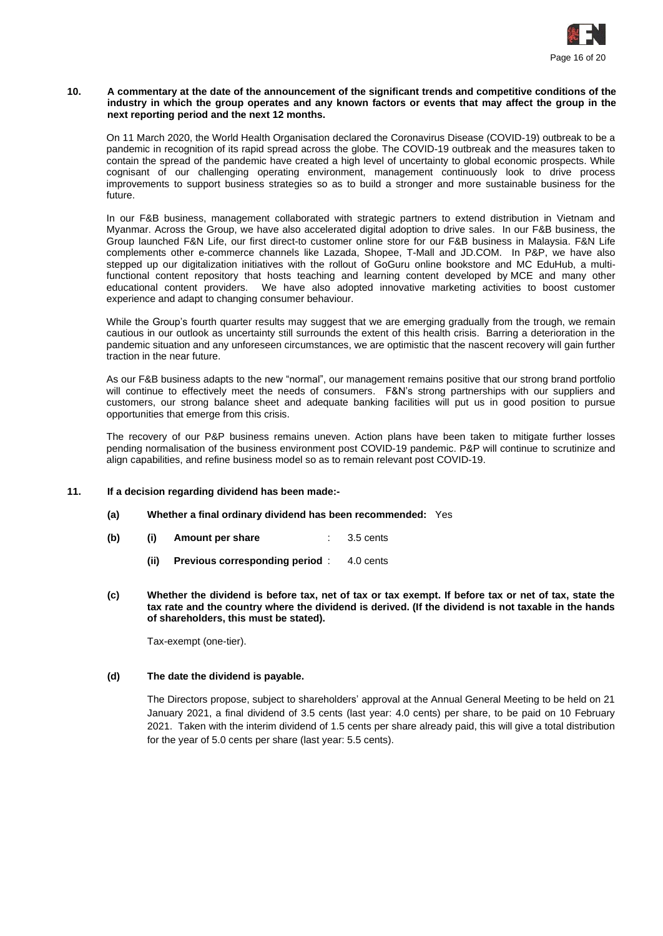

#### **10. A commentary at the date of the announcement of the significant trends and competitive conditions of the industry in which the group operates and any known factors or events that may affect the group in the next reporting period and the next 12 months.**

On 11 March 2020, the World Health Organisation declared the Coronavirus Disease (COVID-19) outbreak to be a pandemic in recognition of its rapid spread across the globe. The COVID-19 outbreak and the measures taken to contain the spread of the pandemic have created a high level of uncertainty to global economic prospects. While cognisant of our challenging operating environment, management continuously look to drive process improvements to support business strategies so as to build a stronger and more sustainable business for the future.

In our F&B business, management collaborated with strategic partners to extend distribution in Vietnam and Myanmar. Across the Group, we have also accelerated digital adoption to drive sales. In our F&B business, the Group launched F&N Life, our first direct-to customer online store for our F&B business in Malaysia. F&N Life complements other e-commerce channels like Lazada, Shopee, T-Mall and JD.COM. In P&P, we have also stepped up our digitalization initiatives with the rollout of GoGuru online bookstore and MC EduHub, a multifunctional content repository that hosts teaching and learning content developed by MCE and many other educational content providers. We have also adopted innovative marketing activities to boost customer experience and adapt to changing consumer behaviour.

While the Group's fourth quarter results may suggest that we are emerging gradually from the trough, we remain cautious in our outlook as uncertainty still surrounds the extent of this health crisis. Barring a deterioration in the pandemic situation and any unforeseen circumstances, we are optimistic that the nascent recovery will gain further traction in the near future.

As our F&B business adapts to the new "normal", our management remains positive that our strong brand portfolio will continue to effectively meet the needs of consumers. F&N's strong partnerships with our suppliers and customers, our strong balance sheet and adequate banking facilities will put us in good position to pursue opportunities that emerge from this crisis.

The recovery of our P&P business remains uneven. Action plans have been taken to mitigate further losses pending normalisation of the business environment post COVID-19 pandemic. P&P will continue to scrutinize and align capabilities, and refine business model so as to remain relevant post COVID-19.

#### **11. If a decision regarding dividend has been made:-**

- **(a) Whether a final ordinary dividend has been recommended:** Yes
- **(b) (i) Amount per share** : 3.5 cents
	- **(ii) Previous corresponding period** : 4.0 cents
- **(c) Whether the dividend is before tax, net of tax or tax exempt. If before tax or net of tax, state the tax rate and the country where the dividend is derived. (If the dividend is not taxable in the hands of shareholders, this must be stated).**

Tax-exempt (one-tier).

#### **(d) The date the dividend is payable.**

The Directors propose, subject to shareholders' approval at the Annual General Meeting to be held on 21 January 2021, a final dividend of 3.5 cents (last year: 4.0 cents) per share, to be paid on 10 February 2021. Taken with the interim dividend of 1.5 cents per share already paid, this will give a total distribution for the year of 5.0 cents per share (last year: 5.5 cents).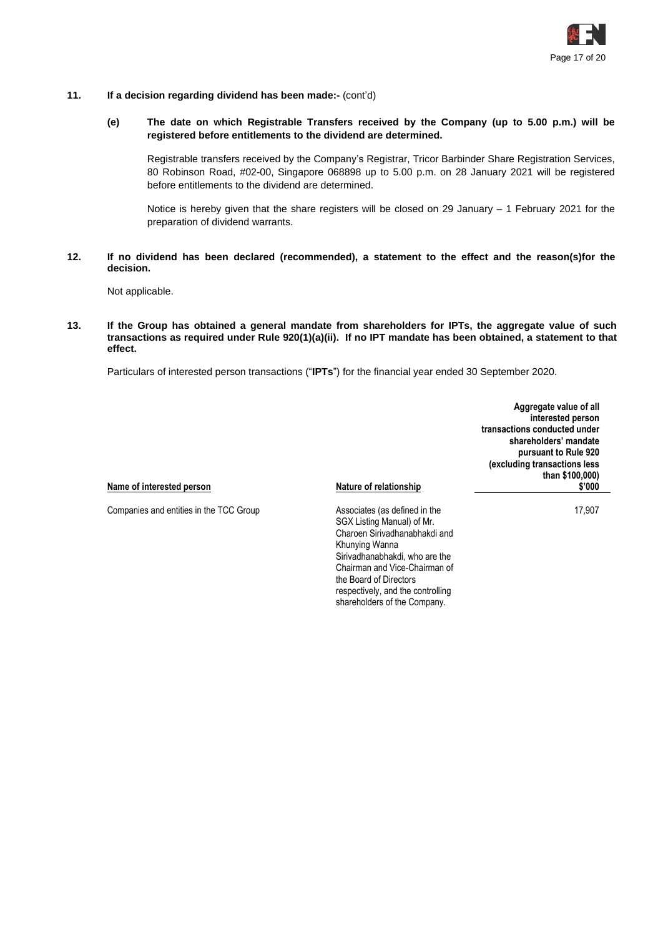

- **11. If a decision regarding dividend has been made:-** (cont'd)
	- **(e) The date on which Registrable Transfers received by the Company (up to 5.00 p.m.) will be registered before entitlements to the dividend are determined.**

Registrable transfers received by the Company's Registrar, Tricor Barbinder Share Registration Services, 80 Robinson Road, #02-00, Singapore 068898 up to 5.00 p.m. on 28 January 2021 will be registered before entitlements to the dividend are determined.

Notice is hereby given that the share registers will be closed on 29 January – 1 February 2021 for the preparation of dividend warrants.

**12. If no dividend has been declared (recommended), a statement to the effect and the reason(s)for the decision.**

Not applicable.

**13. If the Group has obtained a general mandate from shareholders for IPTs, the aggregate value of such transactions as required under Rule 920(1)(a)(ii). If no IPT mandate has been obtained, a statement to that effect.**

Particulars of interested person transactions ("**IPTs**") for the financial year ended 30 September 2020.

| Name of interested person               | Nature of relationship                                      | Aggregate value of all<br>interested person<br>transactions conducted under<br>shareholders' mandate<br>pursuant to Rule 920<br>(excluding transactions less<br>than \$100,000)<br>\$'000 |
|-----------------------------------------|-------------------------------------------------------------|-------------------------------------------------------------------------------------------------------------------------------------------------------------------------------------------|
|                                         |                                                             |                                                                                                                                                                                           |
| Companies and entities in the TCC Group | Associates (as defined in the<br>SGX Listing Manual) of Mr. | 17,907                                                                                                                                                                                    |
|                                         | Charoen Sirivadhanabhakdi and<br>Khunying Wanna             |                                                                                                                                                                                           |
|                                         | Sirivadhanabhakdi, who are the                              |                                                                                                                                                                                           |
|                                         | Chairman and Vice-Chairman of<br>the Board of Directors     |                                                                                                                                                                                           |

respectively, and the controlling shareholders of the Company.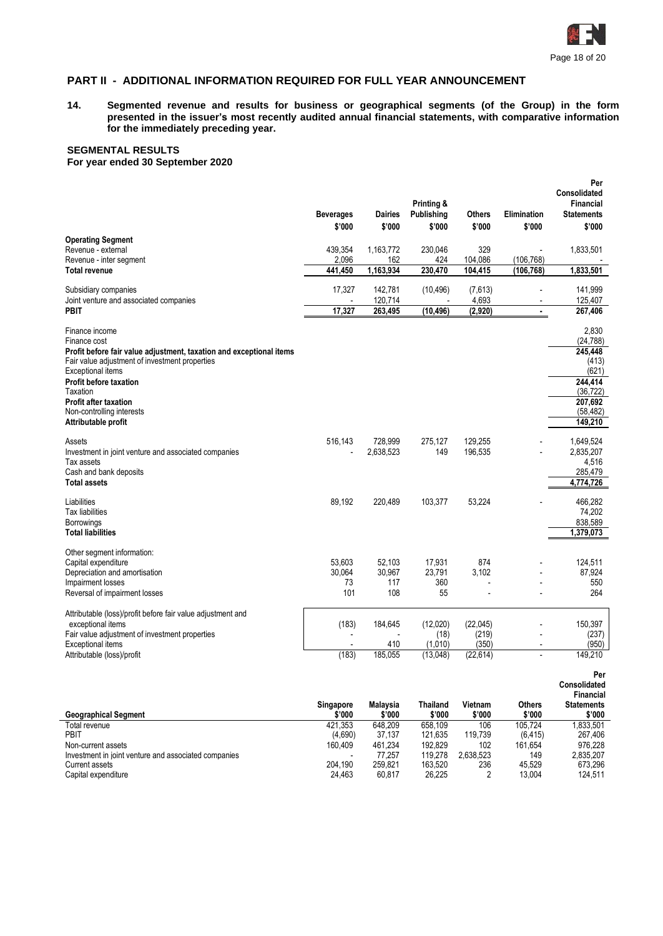

# **PART II - ADDITIONAL INFORMATION REQUIRED FOR FULL YEAR ANNOUNCEMENT**

**14. Segmented revenue and results for business or geographical segments (of the Group) in the form presented in the issuer's most recently audited annual financial statements, with comparative information for the immediately preceding year.**

# **SEGMENTAL RESULTS**

**For year ended 30 September 2020**

|                                                                                                                                                                                                                                                                                                        | <b>Beverages</b><br>\$'000                 | <b>Dairies</b><br>\$'000       | Printing &<br><b>Publishing</b><br>\$'000 | <b>Others</b><br>\$'000                 | <b>Elimination</b><br>\$'000                       | Per<br><b>Consolidated</b><br><b>Financial</b><br><b>Statements</b><br>\$'000                              |
|--------------------------------------------------------------------------------------------------------------------------------------------------------------------------------------------------------------------------------------------------------------------------------------------------------|--------------------------------------------|--------------------------------|-------------------------------------------|-----------------------------------------|----------------------------------------------------|------------------------------------------------------------------------------------------------------------|
| <b>Operating Segment</b><br>Revenue - external<br>Revenue - inter segment<br><b>Total revenue</b>                                                                                                                                                                                                      | 439,354<br>2,096<br>441.450                | 1,163,772<br>162<br>1,163,934  | 230,046<br>424<br>230,470                 | 329<br>104,086<br>104,415               | (106, 768)<br>(106, 768)                           | 1,833,501<br>1,833,501                                                                                     |
| Subsidiary companies<br>Joint venture and associated companies<br><b>PBIT</b>                                                                                                                                                                                                                          | 17,327<br>$\overline{a}$<br>17,327         | 142,781<br>120,714<br>263.495  | (10, 496)<br>(10, 496)                    | (7,613)<br>4,693<br>(2,920)             | $\overline{a}$<br>$\overline{a}$<br>$\blacksquare$ | 141,999<br>125,407<br>267,406                                                                              |
| Finance income<br>Finance cost<br>Profit before fair value adjustment, taxation and exceptional items<br>Fair value adjustment of investment properties<br>Exceptional items<br>Profit before taxation<br>Taxation<br><b>Profit after taxation</b><br>Non-controlling interests<br>Attributable profit |                                            |                                |                                           |                                         |                                                    | 2,830<br>(24, 788)<br>245.448<br>(413)<br>(621)<br>244,414<br>(36, 722)<br>207,692<br>(58, 482)<br>149,210 |
| Assets<br>Investment in joint venture and associated companies<br>Tax assets<br>Cash and bank deposits<br><b>Total assets</b>                                                                                                                                                                          | 516,143                                    | 728,999<br>2,638,523           | 275,127<br>149                            | 129,255<br>196,535                      |                                                    | 1,649,524<br>2,835,207<br>4,516<br>285,479<br>4,774,726                                                    |
| Liabilities<br>Tax liabilities<br>Borrowings<br><b>Total liabilities</b>                                                                                                                                                                                                                               | 89,192                                     | 220,489                        | 103,377                                   | 53,224                                  |                                                    | 466,282<br>74,202<br>838,589<br>1,379,073                                                                  |
| Other segment information:<br>Capital expenditure<br>Depreciation and amortisation<br>Impairment losses<br>Reversal of impairment losses                                                                                                                                                               | 53.603<br>30,064<br>73<br>101              | 52.103<br>30,967<br>117<br>108 | 17,931<br>23,791<br>360<br>55             | 874<br>3,102                            |                                                    | 124.511<br>87,924<br>550<br>264                                                                            |
| Attributable (loss)/profit before fair value adjustment and<br>exceptional items<br>Fair value adjustment of investment properties<br>Exceptional items<br>Attributable (loss)/profit                                                                                                                  | (183)<br>$\overline{\phantom{a}}$<br>(183) | 184,645<br>410<br>185,055      | (12,020)<br>(18)<br>(1,010)<br>(13,048)   | (22,045)<br>(219)<br>(350)<br>(22, 614) | ٠                                                  | 150,397<br>(237)<br>(950)<br>149,210                                                                       |

**Consolidated**

| <b>Geographical Segment</b>                          | <b>Singapore</b><br>\$'000 | Malavsia<br>\$'000 | Thailand<br>\$'000 | Vietnam<br>\$'000 | Others<br>\$'000 | <b>Financial</b><br><b>Statements</b><br>\$'000 |
|------------------------------------------------------|----------------------------|--------------------|--------------------|-------------------|------------------|-------------------------------------------------|
| Total revenue                                        | 421.353                    | 648.209            | 658.109            | 106               | 105.724          | 1.833.501                                       |
| PBIT                                                 | (4.690)                    | 37.137             | 121.635            | 119.739           | (6, 415)         | 267.406                                         |
| Non-current assets                                   | 160.409                    | 461.234            | 192.829            | 102               | 161.654          | 976.228                                         |
| Investment in joint venture and associated companies |                            | 77.257             | 119.278            | 2.638.523         | 149              | 2.835.207                                       |
| Current assets                                       | 204.190                    | 259.821            | 163.520            | 236               | 45.529           | 673.296                                         |
| Capital expenditure                                  | 24.463                     | 60.817             | 26.225             |                   | 13.004           | 124.511                                         |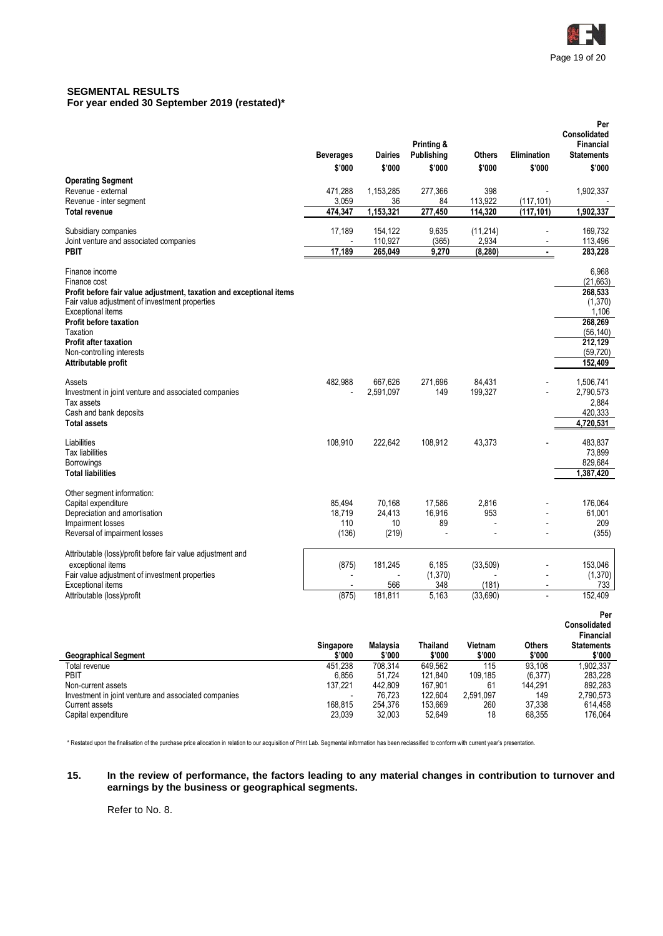

# **SEGMENTAL RESULTS**

**For year ended 30 September 2019 (restated)\***

|                                                                                                                                                                              | <b>Beverages</b><br>\$'000        | <b>Dairies</b><br>\$'000        | Printing &<br>Publishing<br>\$'000 | <b>Others</b><br>\$'000        | Elimination<br>\$'000                      | Per<br>Consolidated<br>Financial<br><b>Statements</b><br>\$'000 |
|------------------------------------------------------------------------------------------------------------------------------------------------------------------------------|-----------------------------------|---------------------------------|------------------------------------|--------------------------------|--------------------------------------------|-----------------------------------------------------------------|
| <b>Operating Segment</b><br>Revenue - external<br>Revenue - inter segment                                                                                                    | 471,288<br>3,059                  | 1,153,285<br>36                 | 277,366<br>84                      | 398<br>113,922                 | $\overline{a}$<br>(117, 101)               | 1,902,337                                                       |
| <b>Total revenue</b>                                                                                                                                                         | 474,347                           | 1,153,321                       | 277,450                            | 114,320                        | (117, 101)                                 | 1,902,337                                                       |
| Subsidiary companies<br>Joint venture and associated companies                                                                                                               | 17,189                            | 154,122<br>110,927              | 9,635<br>(365)                     | (11, 214)<br>2,934             | $\overline{\phantom{a}}$<br>$\blacksquare$ | 169,732<br>113,496                                              |
| <b>PBIT</b>                                                                                                                                                                  | 17,189                            | 265,049                         | 9,270                              | (8, 280)                       | $\blacksquare$                             | 283,228                                                         |
| Finance income<br>Finance cost<br>Profit before fair value adjustment, taxation and exceptional items<br>Fair value adjustment of investment properties<br>Exceptional items |                                   |                                 |                                    |                                |                                            | 6,968<br>(21,663)<br>268,533<br>(1,370)<br>1,106                |
| <b>Profit before taxation</b><br>Taxation<br><b>Profit after taxation</b><br>Non-controlling interests<br>Attributable profit                                                |                                   |                                 |                                    |                                |                                            | 268,269<br>(56, 140)<br>212,129<br>(59, 720)<br>152,409         |
| Assets<br>Investment in joint venture and associated companies<br>Tax assets<br>Cash and bank deposits<br><b>Total assets</b>                                                | 482,988                           | 667,626<br>2,591,097            | 271,696<br>149                     | 84,431<br>199,327              |                                            | 1,506,741<br>2,790,573<br>2,884<br>420,333<br>4,720,531         |
| Liabilities<br>Tax liabilities<br><b>Borrowings</b><br><b>Total liabilities</b>                                                                                              | 108,910                           | 222,642                         | 108,912                            | 43,373                         |                                            | 483,837<br>73,899<br>829,684<br>1,387,420                       |
| Other segment information:<br>Capital expenditure<br>Depreciation and amortisation<br>Impairment losses<br>Reversal of impairment losses                                     | 85,494<br>18,719<br>110<br>(136)  | 70,168<br>24,413<br>10<br>(219) | 17,586<br>16,916<br>89             | 2,816<br>953<br>$\overline{a}$ |                                            | 176,064<br>61,001<br>209<br>(355)                               |
| Attributable (loss)/profit before fair value adjustment and<br>exceptional items<br>Fair value adjustment of investment properties                                           | (875)<br>$\overline{\phantom{a}}$ | 181,245                         | 6,185<br>(1, 370)                  | (33,509)                       |                                            | 153,046<br>(1,370)                                              |
| <b>Exceptional items</b><br>Attributable (loss)/profit                                                                                                                       | $\overline{\phantom{a}}$<br>(875) | 566<br>181,811                  | 348<br>5,163                       | (181)<br>(33,690)              | $\blacksquare$                             | 733<br>152,409                                                  |
|                                                                                                                                                                              | Singapore                         | Malaysia                        | <b>Thailand</b>                    | Vietnam                        | <b>Others</b>                              | Per<br>Consolidated<br>Financial<br><b>Statements</b>           |
| <b>Geographical Segment</b><br>Total revenue                                                                                                                                 | \$'000<br>451,238                 | \$'000<br>708,314               | \$'000<br>649,562                  | \$'000<br>115                  | \$'000<br>93.108                           | \$'000<br>1,902,337                                             |
| PBIT                                                                                                                                                                         | 6,856                             | 51,724                          | 121,840                            | 109,185                        | (6, 377)                                   | 283,228                                                         |
| Non-current assets<br>Investment in joint venture and associated companies<br>Current assets                                                                                 | 137,221<br>168,815                | 442,809<br>76,723<br>254,376    | 167,901<br>122,604<br>153,669      | 61<br>2,591,097<br>260         | 144,291<br>149<br>37,338                   | 892,283<br>2,790,573<br>614,458                                 |

\* Restated upon the finalisation of the purchase price allocation in relation to our acquisition of Print Lab. Segmental information has been reclassified to conform with current year's presentation.

#### **15. In the review of performance, the factors leading to any material changes in contribution to turnover and earnings by the business or geographical segments.**

Current assets 168,815 254,376 153,669 260 37,338 614,458 Capital expenditure 23,039 32,003 52,649 18 68,355 176,064

Refer to No. 8.